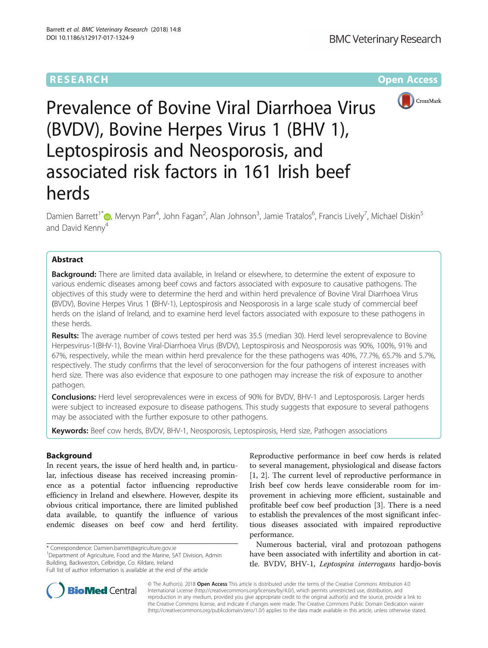# **RESEARCH CHE Open Access**



Prevalence of Bovine Viral Diarrhoea Virus (BVDV), Bovine Herpes Virus 1 (BHV 1), Leptospirosis and Neosporosis, and associated risk factors in 161 Irish beef herds

Damien Barrett<sup>1\*</sup>�, Mervyn Parr<sup>4</sup>, John Fagan<sup>2</sup>, Alan Johnson<sup>3</sup>, Jamie Tratalos<sup>6</sup>, Francis Lively<sup>7</sup>, Michael Diskin<sup>5</sup> and David Kenny<sup>4</sup>

## Abstract

**Background:** There are limited data available, in Ireland or elsewhere, to determine the extent of exposure to various endemic diseases among beef cows and factors associated with exposure to causative pathogens. The objectives of this study were to determine the herd and within herd prevalence of Bovine Viral Diarrhoea Virus (BVDV), Bovine Herpes Virus 1 (BHV-1), Leptospirosis and Neosporosis in a large scale study of commercial beef herds on the island of Ireland, and to examine herd level factors associated with exposure to these pathogens in these herds.

Results: The average number of cows tested per herd was 35.5 (median 30). Herd level seroprevalence to Bovine Herpesvirus-1(BHV-1), Bovine Viral-Diarrhoea Virus (BVDV), Leptospirosis and Neosporosis was 90%, 100%, 91% and 67%, respectively, while the mean within herd prevalence for the these pathogens was 40%, 77.7%, 65.7% and 5.7%, respectively. The study confirms that the level of seroconversion for the four pathogens of interest increases with herd size. There was also evidence that exposure to one pathogen may increase the risk of exposure to another pathogen.

Conclusions: Herd level seroprevalences were in excess of 90% for BVDV, BHV-1 and Leptosporosis. Larger herds were subject to increased exposure to disease pathogens. This study suggests that exposure to several pathogens may be associated with the further exposure to other pathogens.

Keywords: Beef cow herds, BVDV, BHV-1, Neosporosis, Leptospirosis, Herd size, Pathogen associations

## Background

In recent years, the issue of herd health and, in particular, infectious disease has received increasing prominence as a potential factor influencing reproductive efficiency in Ireland and elsewhere. However, despite its obvious critical importance, there are limited published data available, to quantify the influence of various endemic diseases on beef cow and herd fertility.

\* Correspondence: [Damien.barrett@agriculture.gov.ie](mailto:Damien.barrett@agriculture.gov.ie) <sup>1</sup>

<sup>1</sup>Department of Agriculture, Food and the Marine, SAT Division, Admin Building, Backweston, Celbridge, Co. Kildare, Ireland



Numerous bacterial, viral and protozoan pathogens have been associated with infertility and abortion in cattle. BVDV, BHV-1, Leptospira interrogans hardjo-bovis



© The Author(s). 2018 Open Access This article is distributed under the terms of the Creative Commons Attribution 4.0 International License [\(http://creativecommons.org/licenses/by/4.0/](http://creativecommons.org/licenses/by/4.0/)), which permits unrestricted use, distribution, and reproduction in any medium, provided you give appropriate credit to the original author(s) and the source, provide a link to the Creative Commons license, and indicate if changes were made. The Creative Commons Public Domain Dedication waiver [\(http://creativecommons.org/publicdomain/zero/1.0/](http://creativecommons.org/publicdomain/zero/1.0/)) applies to the data made available in this article, unless otherwise stated.

Full list of author information is available at the end of the article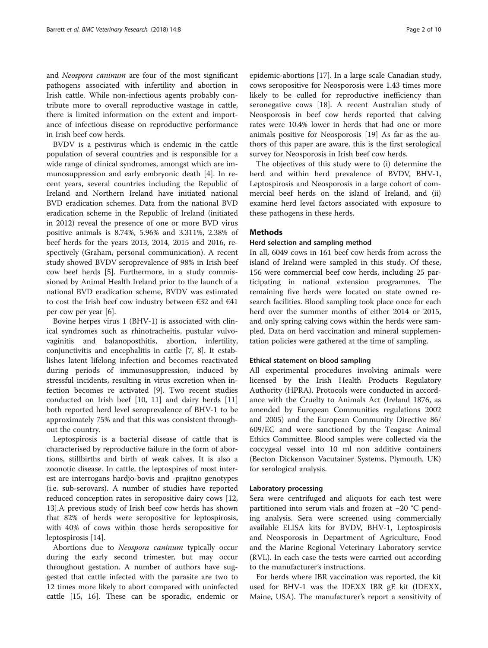and Neospora caninum are four of the most significant pathogens associated with infertility and abortion in Irish cattle. While non-infectious agents probably contribute more to overall reproductive wastage in cattle, there is limited information on the extent and importance of infectious disease on reproductive performance in Irish beef cow herds.

BVDV is a pestivirus which is endemic in the cattle population of several countries and is responsible for a wide range of clinical syndromes, amongst which are immunosuppression and early embryonic death [\[4\]](#page-8-0). In recent years, several countries including the Republic of Ireland and Northern Ireland have initiated national BVD eradication schemes. Data from the national BVD eradication scheme in the Republic of Ireland (initiated in 2012) reveal the presence of one or more BVD virus positive animals is 8.74%, 5.96% and 3.311%, 2.38% of beef herds for the years 2013, 2014, 2015 and 2016, respectively (Graham, personal communication). A recent study showed BVDV seroprevalence of 98% in Irish beef cow beef herds [[5\]](#page-8-0). Furthermore, in a study commissioned by Animal Health Ireland prior to the launch of a national BVD eradication scheme, BVDV was estimated to cost the Irish beef cow industry between €32 and €41 per cow per year [\[6](#page-8-0)].

Bovine herpes virus 1 (BHV-1) is associated with clinical syndromes such as rhinotracheitis, pustular vulvovaginitis and balanoposthitis, abortion, infertility, conjunctivitis and encephalitis in cattle [\[7](#page-8-0), [8\]](#page-8-0). It establishes latent lifelong infection and becomes reactivated during periods of immunosuppression, induced by stressful incidents, resulting in virus excretion when infection becomes re activated [[9\]](#page-8-0). Two recent studies conducted on Irish beef [[10, 11](#page-8-0)] and dairy herds [[11](#page-8-0)] both reported herd level seroprevalence of BHV-1 to be approximately 75% and that this was consistent throughout the country.

Leptospirosis is a bacterial disease of cattle that is characterised by reproductive failure in the form of abortions, stillbirths and birth of weak calves. It is also a zoonotic disease. In cattle, the leptospires of most interest are interrogans hardjo-bovis and -prajitno genotypes (i.e. sub-serovars). A number of studies have reported reduced conception rates in seropositive dairy cows [[12](#page-9-0), [13\]](#page-9-0).A previous study of Irish beef cow herds has shown that 82% of herds were seropositive for leptospirosis, with 40% of cows within those herds seropositive for leptospirosis [[14\]](#page-9-0).

Abortions due to Neospora caninum typically occur during the early second trimester, but may occur throughout gestation. A number of authors have suggested that cattle infected with the parasite are two to 12 times more likely to abort compared with uninfected cattle [[15](#page-9-0), [16](#page-9-0)]. These can be sporadic, endemic or

epidemic-abortions [[17\]](#page-9-0). In a large scale Canadian study, cows seropositive for Neosporosis were 1.43 times more likely to be culled for reproductive inefficiency than seronegative cows [\[18\]](#page-9-0). A recent Australian study of Neosporosis in beef cow herds reported that calving rates were 10.4% lower in herds that had one or more animals positive for Neosporosis [[19](#page-9-0)] As far as the authors of this paper are aware, this is the first serological survey for Neosporosis in Irish beef cow herds.

The objectives of this study were to (i) determine the herd and within herd prevalence of BVDV, BHV-1, Leptospirosis and Neosporosis in a large cohort of commercial beef herds on the island of Ireland, and (ii) examine herd level factors associated with exposure to these pathogens in these herds.

### Methods

### Herd selection and sampling method

In all, 6049 cows in 161 beef cow herds from across the island of Ireland were sampled in this study. Of these, 156 were commercial beef cow herds, including 25 participating in national extension programmes. The remaining five herds were located on state owned research facilities. Blood sampling took place once for each herd over the summer months of either 2014 or 2015, and only spring calving cows within the herds were sampled. Data on herd vaccination and mineral supplementation policies were gathered at the time of sampling.

### Ethical statement on blood sampling

All experimental procedures involving animals were licensed by the Irish Health Products Regulatory Authority (HPRA). Protocols were conducted in accordance with the Cruelty to Animals Act (Ireland 1876, as amended by European Communities regulations 2002 and 2005) and the European Community Directive 86/ 609/EC and were sanctioned by the Teagasc Animal Ethics Committee. Blood samples were collected via the coccygeal vessel into 10 ml non additive containers (Becton Dickenson Vacutainer Systems, Plymouth, UK) for serological analysis.

### Laboratory processing

Sera were centrifuged and aliquots for each test were partitioned into serum vials and frozen at −20 °C pending analysis. Sera were screened using commercially available ELISA kits for BVDV, BHV-1, Leptospirosis and Neosporosis in Department of Agriculture, Food and the Marine Regional Veterinary Laboratory service (RVL). In each case the tests were carried out according to the manufacturer's instructions.

For herds where IBR vaccination was reported, the kit used for BHV-1 was the IDEXX IBR gE kit (IDEXX, Maine, USA). The manufacturer's report a sensitivity of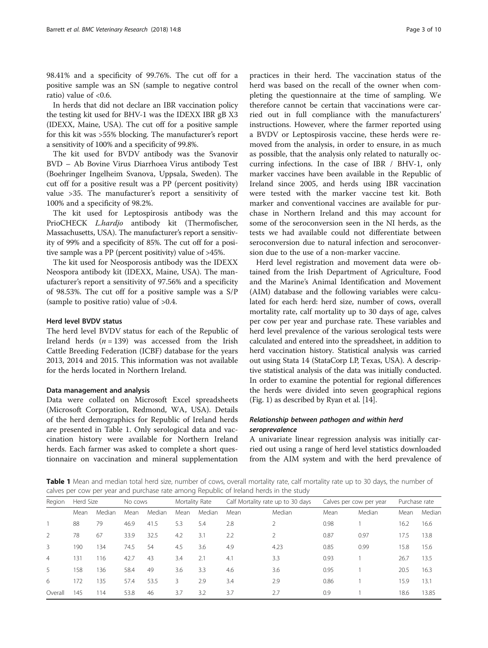<span id="page-2-0"></span>98.41% and a specificity of 99.76%. The cut off for a positive sample was an SN (sample to negative control ratio) value of  $< 0.6$ .

In herds that did not declare an IBR vaccination policy the testing kit used for BHV-1 was the IDEXX IBR gB X3 (IDEXX, Maine, USA). The cut off for a positive sample for this kit was >55% blocking. The manufacturer's report a sensitivity of 100% and a specificity of 99.8%.

The kit used for BVDV antibody was the Svanovir BVD – Ab Bovine Virus Diarrhoea Virus antibody Test (Boehringer Ingelheim Svanova, Uppsala, Sweden). The cut off for a positive result was a PP (percent positivity) value >35. The manufacturer's report a sensitivity of 100% and a specificity of 98.2%.

The kit used for Leptospirosis antibody was the PrioCHECK L.hardjo antibody kit (Thermofischer, Massachusetts, USA). The manufacturer's report a sensitivity of 99% and a specificity of 85%. The cut off for a positive sample was a PP (percent positivity) value of >45%.

The kit used for Neosporosis antibody was the IDEXX Neospora antibody kit (IDEXX, Maine, USA). The manufacturer's report a sensitivity of 97.56% and a specificity of 98.53%. The cut off for a positive sample was a S/P (sample to positive ratio) value of >0.4.

### Herd level BVDV status

The herd level BVDV status for each of the Republic of Ireland herds  $(n = 139)$  was accessed from the Irish Cattle Breeding Federation (ICBF) database for the years 2013, 2014 and 2015. This information was not available for the herds located in Northern Ireland.

## Data management and analysis

Data were collated on Microsoft Excel spreadsheets (Microsoft Corporation, Redmond, WA, USA). Details of the herd demographics for Republic of Ireland herds are presented in Table 1. Only serological data and vaccination history were available for Northern Ireland herds. Each farmer was asked to complete a short questionnaire on vaccination and mineral supplementation

practices in their herd. The vaccination status of the herd was based on the recall of the owner when completing the questionnaire at the time of sampling. We therefore cannot be certain that vaccinations were carried out in full compliance with the manufacturers' instructions. However, where the farmer reported using a BVDV or Leptospirosis vaccine, these herds were removed from the analysis, in order to ensure, in as much as possible, that the analysis only related to naturally occurring infections. In the case of IBR / BHV-1, only marker vaccines have been available in the Republic of Ireland since 2005, and herds using IBR vaccination were tested with the marker vaccine test kit. Both marker and conventional vaccines are available for purchase in Northern Ireland and this may account for some of the seroconversion seen in the NI herds, as the tests we had available could not differentiate between seroconversion due to natural infection and seroconversion due to the use of a non-marker vaccine.

Herd level registration and movement data were obtained from the Irish Department of Agriculture, Food and the Marine's Animal Identification and Movement (AIM) database and the following variables were calculated for each herd: herd size, number of cows, overall mortality rate, calf mortality up to 30 days of age, calves per cow per year and purchase rate. These variables and herd level prevalence of the various serological tests were calculated and entered into the spreadsheet, in addition to herd vaccination history. Statistical analysis was carried out using Stata 14 (StataCorp LP, Texas, USA). A descriptive statistical analysis of the data was initially conducted. In order to examine the potential for regional differences the herds were divided into seven geographical regions (Fig. [1](#page-3-0)) as described by Ryan et al. [\[14](#page-9-0)].

## Relationship between pathogen and within herd seroprevalence

A univariate linear regression analysis was initially carried out using a range of herd level statistics downloaded from the AIM system and with the herd prevalence of

Table 1 Mean and median total herd size, number of cows, overall mortality rate, calf mortality rate up to 30 days, the number of calves per cow per year and purchase rate among Republic of Ireland herds in the study

| Region         | Herd Size |        | No cows |        | Mortality Rate |        | Calf Mortality rate up to 30 days |        | Calves per cow per year |        | Purchase rate |        |
|----------------|-----------|--------|---------|--------|----------------|--------|-----------------------------------|--------|-------------------------|--------|---------------|--------|
|                | Mean      | Median | Mean    | Median | Mean           | Median | Mean                              | Median | Mean                    | Median | Mean          | Median |
|                | 88        | 79     | 46.9    | 41.5   | 5.3            | 5.4    | 2.8                               |        | 0.98                    |        | 16.2          | 16.6   |
| 2              | 78        | 67     | 33.9    | 32.5   | 4.2            | 3.1    | 2.2                               |        | 0.87                    | 0.97   | 17.5          | 13.8   |
| 3              | 190       | 134    | 74.5    | 54     | 4.5            | 3.6    | 4.9                               | 4.23   | 0.85                    | 0.99   | 15.8          | 15.6   |
| $\overline{4}$ | 131       | 116    | 42.7    | 43     | 3.4            | 2.1    | 4.1                               | 3.3    | 0.93                    |        | 26.7          | 13.5   |
| .5             | 158       | 136    | 58.4    | 49     | 3.6            | 3.3    | 4.6                               | 3.6    | 0.95                    |        | 20.5          | 16.3   |
| 6              | 172       | 135    | 57.4    | 53.5   | 3              | 2.9    | 3.4                               | 2.9    | 0.86                    |        | 15.9          | 13.1   |
| Overall        | 145       | 114    | 53.8    | 46     | 3.7            | 3.2    | 3.7                               | 2.7    | 0.9                     |        | 18.6          | 13.85  |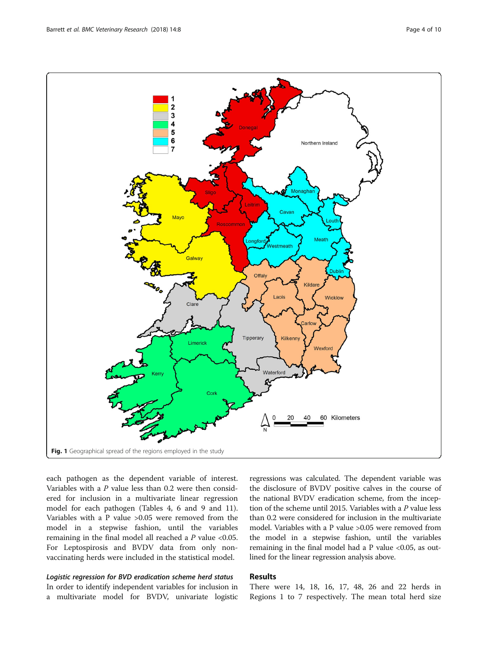<span id="page-3-0"></span>

each pathogen as the dependent variable of interest. Variables with a  $P$  value less than 0.2 were then considered for inclusion in a multivariate linear regression model for each pathogen (Tables [4,](#page-4-0) [6](#page-5-0) and [9](#page-6-0) and 11). Variables with a P value >0.05 were removed from the model in a stepwise fashion, until the variables remaining in the final model all reached a  $P$  value <0.05. For Leptospirosis and BVDV data from only nonvaccinating herds were included in the statistical model.

### Logistic regression for BVD eradication scheme herd status

In order to identify independent variables for inclusion in a multivariate model for BVDV, univariate logistic

regressions was calculated. The dependent variable was the disclosure of BVDV positive calves in the course of the national BVDV eradication scheme, from the inception of the scheme until 2015. Variables with a P value less than 0.2 were considered for inclusion in the multivariate model. Variables with a P value >0.05 were removed from the model in a stepwise fashion, until the variables remaining in the final model had a P value <0.05, as outlined for the linear regression analysis above.

## Results

There were 14, 18, 16, 17, 48, 26 and 22 herds in Regions 1 to 7 respectively. The mean total herd size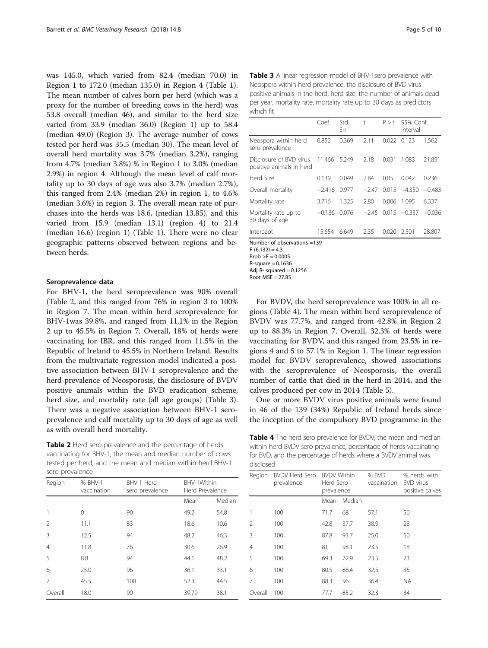<span id="page-4-0"></span>was 145.0, which varied from 82.4 (median 70.0) in Region 1 to 172.0 (median 135.0) in Region 4 (Table [1](#page-2-0)). The mean number of calves born per herd (which was a proxy for the number of breeding cows in the herd) was 53.8 overall (median 46), and similar to the herd size varied from 33.9 (median 36.0) (Region 1) up to 58.4 (median 49.0) (Region 3). The average number of cows tested per herd was 35.5 (median 30). The mean level of overall herd mortality was 3.7% (median 3.2%), ranging from 4.7% (median 3.8%) % in Region 1 to 3.0% (median 2.9%) in region 4. Although the mean level of calf mortality up to 30 days of age was also 3.7% (median 2.7%), this ranged from 2.4% (median 2%) in region 1, to 4.6% (median 3.6%) in region 3. The overall mean rate of purchases into the herds was 18.6, (median 13.85), and this varied from 15.9 (median 13.1) (region 4) to 21.4 (median 16.6) (region 1) (Table [1](#page-2-0)). There were no clear geographic patterns observed between regions and between herds.

#### Seroprevalence data

For BHV-1, the herd seroprevalence was 90% overall (Table 2, and this ranged from 76% in region 3 to 100% in Region 7. The mean within herd seroprevalence for BHV-1was 39.8%, and ranged from 11.1% in the Region 2 up to 45.5% in Region 7. Overall, 18% of herds were vaccinating for IBR, and this ranged from 11.5% in the Republic of Ireland to 45.5% in Northern Ireland. Results from the multivariate regression model indicated a positive association between BHV-1 seroprevalence and the herd prevalence of Neosporosis, the disclosure of BVDV positive animals within the BVD eradication scheme, herd size, and mortality rate (all age groups) (Table 3). There was a negative association between BHV-1 seroprevalence and calf mortality up to 30 days of age as well as with overall herd mortality.

Table 2 Herd sero prevalence and the percentage of herds vaccinating for BHV-1, the mean and median number of cows tested per herd, and the mean and median within herd BHV-1 sero prevalence

Table 3 A linear regression model of BHV-1sero prevalence with Neospora within herd prevalence, the disclosure of BVD virus positive animals in the herd, herd size, the number of animals dead per year, mortality rate, mortality rate up to 30 days as predictors which fit

|                                                                                                   | Coef.    | Std.<br>Err. | $\ddagger$ | P > t | 95% Conf.<br>interval |          |
|---------------------------------------------------------------------------------------------------|----------|--------------|------------|-------|-----------------------|----------|
| Neospora within herd<br>sero prevalence                                                           | 0.852    | 0.369        | 2.11       | 0.022 | 0.123                 | 1.562    |
| Disclosure of BVD virus<br>positive animals in herd                                               | 11.466   | 5.249        | 2.18       | 0.031 | 1.083                 | 21.851   |
| Herd Size                                                                                         | 0.139    | 0.049        | 2.84       | 0.05  | 0.042                 | 0.236    |
| Overall mortality                                                                                 | $-2.416$ | 0.977        | $-2.47$    |       | $0.015 -4.350$        | $-0.483$ |
| Mortality rate                                                                                    | 3.716    | 1.325        | 2.80       | 0.006 | 1.095                 | 6.337    |
| Mortality rate up to<br>30 days of age                                                            | $-0.186$ | 0.076        | $-2.45$    |       | $0.015 -0.337$        | $-0.036$ |
| Intercept                                                                                         | 15.654   | 6.649        | 2.35       | 0.020 | 2.501                 | 28.807   |
| Number of observations $=139$<br>$F(6, 132) = 4.3$<br>$Prob > F = 0.0005$<br>$R$ -square = 0.1636 |          |              |            |       |                       |          |

Adj  $R-$  squared = 0.1256

 $Root MSE = 27.85$ 

For BVDV, the herd seroprevalence was 100% in all regions (Table 4). The mean within herd seroprevalence of BVDV was 77.7%, and ranged from 42.8% in Region 2 up to 88.3% in Region 7. Overall, 32.3% of herds were vaccinating for BVDV, and this ranged from 23.5% in regions 4 and 5 to 57.1% in Region 1. The linear regression model for BVDV seroprevalence, showed associations with the seroprevalence of Neosporosis, the overall number of cattle that died in the herd in 2014, and the calves produced per cow in 2014 (Table [5](#page-5-0)).

One or more BVDV virus positive animals were found in 46 of the 139 (34%) Republic of Ireland herds since the inception of the compulsory BVD programme in the

Table 4 The herd sero prevalence for BVDV, the mean and median within herd BVDV sero prevalence, percentage of herds vaccinating for BVD, and the percentage of herds where a BVDV animal was disclosed

| <b>SEID DIEVAIELICE</b> |                        |                               |       |                                |  |  |  |  |
|-------------------------|------------------------|-------------------------------|-------|--------------------------------|--|--|--|--|
| Region                  | % BHV-1<br>vaccination | BHV 1 Herd<br>sero prevalence |       | BHV-1Within<br>Herd Prevalence |  |  |  |  |
|                         |                        |                               | Mean  | Median                         |  |  |  |  |
| 1                       | 0                      | 90                            | 49.2  | 54.8                           |  |  |  |  |
| $\overline{2}$          | 11.1                   | 83                            | 18.6  | 10.6                           |  |  |  |  |
| 3                       | 12.5                   | 94                            | 48.2  | 46.3                           |  |  |  |  |
| $\overline{4}$          | 11.8                   | 76                            | 30.6  | 26.9                           |  |  |  |  |
| 5                       | 8.8                    | 94                            | 44.1  | 48.2                           |  |  |  |  |
| 6                       | 25.0                   | 96                            | 36.1  | 33.1                           |  |  |  |  |
| 7                       | 45.5                   | 100                           | 52.3  | 44.5                           |  |  |  |  |
| Overall                 | 18.0                   | 90                            | 39.79 | 38.1                           |  |  |  |  |

| Region        | BVDV Herd Sero<br>prevalence | <b>BVDV Within</b><br>Herd Sero<br>prevalence |        | % BVD<br>vaccination | % herds with<br><b>BVD</b> virus<br>positive calves |
|---------------|------------------------------|-----------------------------------------------|--------|----------------------|-----------------------------------------------------|
|               |                              | Mean                                          | Median |                      |                                                     |
|               | 100                          | 71.7                                          | 68     | 57.1                 | 50                                                  |
| $\mathcal{P}$ | 100                          | 42.8                                          | 37.7   | 38.9                 | 28                                                  |
| 3             | 100                          | 87.8                                          | 93.7   | 25.0                 | 50                                                  |
| 4             | 100                          | 81                                            | 98.1   | 23.5                 | 18                                                  |
| 5             | 100                          | 69.3                                          | 72.9   | 23.5                 | 23                                                  |
| 6             | 100                          | 80.5                                          | 88.4   | 32.5                 | 35                                                  |
| 7             | 100                          | 88.3                                          | 96     | 36.4                 | <b>NA</b>                                           |
| Overall       | 100                          | 77.7                                          | 85.2   | 32.3                 | 34                                                  |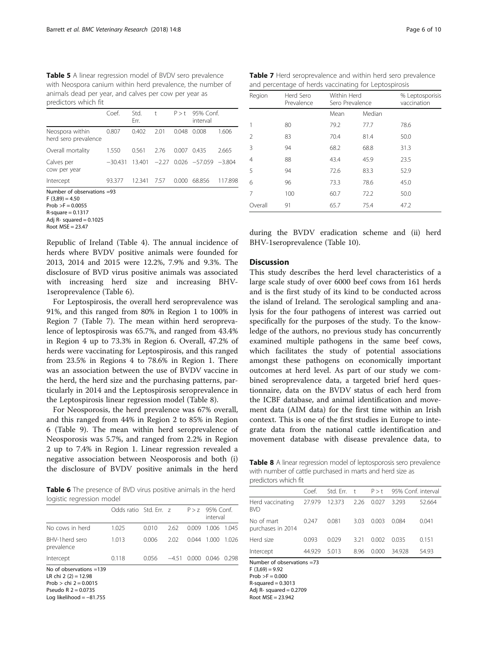<span id="page-5-0"></span>Table 5 A linear regression model of BVDV sero prevalence with Neospora canium within herd prevalence, the number of animals dead per year, and calves per cow per year as predictors which fit

|                                         | Coef.     | Std.<br>Err. | t    |       | $P > t$ 95% Conf.<br>interval          |         |  |  |
|-----------------------------------------|-----------|--------------|------|-------|----------------------------------------|---------|--|--|
| Neospora within<br>herd sero prevalence | 0.807     | 0.402        | 2.01 | 0.048 | 0.008                                  | 1.606   |  |  |
| Overall mortality                       | 1.550     | 0.561        | 2.76 | 0.007 | 0.435                                  | 2.665   |  |  |
| Calves per<br>cow per year              | $-30.431$ |              |      |       | $13.401 - 2.27 0.026 - 57.059 - 3.804$ |         |  |  |
| Intercept                               | 93.377    | 12.341 7.57  |      | 0.000 | 68.856                                 | 117.898 |  |  |
| Number of obconvisions -02              |           |              |      |       |                                        |         |  |  |

Number of observations =93

 $F(3,89) = 4.50$  $Prob > F = 0.0055$ 

 $R$ -square = 0.1317

Adj R- squared  $= 0.1025$ 

 $Root MSE = 23.47$ 

Republic of Ireland (Table [4](#page-4-0)). The annual incidence of herds where BVDV positive animals were founded for 2013, 2014 and 2015 were 12.2%, 7.9% and 9.3%. The disclosure of BVD virus positive animals was associated with increasing herd size and increasing BHV-1seroprevalence (Table 6).

For Leptospirosis, the overall herd seroprevalence was 91%, and this ranged from 80% in Region 1 to 100% in Region 7 (Table 7). The mean within herd seroprevalence of leptospirosis was 65.7%, and ranged from 43.4% in Region 4 up to 73.3% in Region 6. Overall, 47.2% of herds were vaccinating for Leptospirosis, and this ranged from 23.5% in Regions 4 to 78.6% in Region 1. There was an association between the use of BVDV vaccine in the herd, the herd size and the purchasing patterns, particularly in 2014 and the Leptospirosis seroprevalence in the Leptospirosis linear regression model (Table 8).

For Neosporosis, the herd prevalence was 67% overall, and this ranged from 44% in Region 2 to 85% in Region 6 (Table [9](#page-6-0)). The mean within herd seroprevalence of Neosporosis was 5.7%, and ranged from 2.2% in Region 2 up to 7.4% in Region 1. Linear regression revealed a negative association between Neosporosis and both (i) the disclosure of BVDV positive animals in the herd

Table 6 The presence of BVD virus positive animals in the herd logistic regression model

|                                                                                                                                      | Odds ratio Std. Frr. z |       |         |       | $P > z$ 95% Conf.<br>interval |       |
|--------------------------------------------------------------------------------------------------------------------------------------|------------------------|-------|---------|-------|-------------------------------|-------|
| No cows in herd                                                                                                                      | 1.025                  | 0.010 | 2.62    | 0.009 | 1.006                         | 1045  |
| BHV-1herd sero<br>prevalence                                                                                                         | 1.013                  | 0.006 | 2.02    | 0.044 | 1.000                         | 1026  |
| Intercept                                                                                                                            | 0.118                  | 0.056 | $-4.51$ |       | $0.000 \quad 0.046$           | 0.298 |
| No of observations $=139$<br>LR chi 2 $(2) = 12.98$<br>Prob $>$ chi 2 = 0.0015<br>Pseudo R $2 = 0.0735$<br>Log likelihood $=-81.755$ |                        |       |         |       |                               |       |

Table 7 Herd seroprevalence and within herd sero prevalence and percentage of herds vaccinating for Leptospirosis

| Region  | Herd Sero<br>Prevalence | Within Herd<br>Sero Prevalence |        | % Leptosporisis<br>vaccination |  |
|---------|-------------------------|--------------------------------|--------|--------------------------------|--|
|         |                         | Mean                           | Median |                                |  |
| 1       | 80                      | 79.2                           | 77.7   | 78.6                           |  |
| 2       | 83                      | 70.4                           | 81.4   | 50.0                           |  |
| 3       | 94                      | 68.2                           | 68.8   | 31.3                           |  |
| 4       | 88                      | 43.4                           | 45.9   | 23.5                           |  |
| 5       | 94                      | 72.6                           | 83.3   | 52.9                           |  |
| 6       | 96                      | 73.3                           | 78.6   | 45.0                           |  |
| 7       | 100                     | 60.7                           | 72.2   | 50.0                           |  |
| Overall | 91                      | 65.7                           | 75.4   | 47.2                           |  |

during the BVDV eradication scheme and (ii) herd BHV-1seroprevalence (Table [10\)](#page-6-0).

### **Discussion**

This study describes the herd level characteristics of a large scale study of over 6000 beef cows from 161 herds and is the first study of its kind to be conducted across the island of Ireland. The serological sampling and analysis for the four pathogens of interest was carried out specifically for the purposes of the study. To the knowledge of the authors, no previous study has concurrently examined multiple pathogens in the same beef cows, which facilitates the study of potential associations amongst these pathogens on economically important outcomes at herd level. As part of our study we combined seroprevalence data, a targeted brief herd questionnaire, data on the BVDV status of each herd from the ICBF database, and animal identification and movement data (AIM data) for the first time within an Irish context. This is one of the first studies in Europe to integrate data from the national cattle identification and movement database with disease prevalence data, to

Table 8 A linear regression model of leptosporosis sero prevalence with number of cattle purchased in marts and herd size as predictors which fit

|                                 | Coef.  | Std. Frr. t |       |       | $P > t$ 95% Conf. interval |        |  |  |
|---------------------------------|--------|-------------|-------|-------|----------------------------|--------|--|--|
| Herd vaccinating<br><b>BVD</b>  | 27.979 | 12.373      | 2.26  | 0.027 | 3.293                      | 52.664 |  |  |
| No of mart<br>purchases in 2014 | 0.247  | 0.081       | 3.03  | 0.003 | 0.084                      | 0.041  |  |  |
| Herd size                       | 0.093  | 0029        | 3 2 1 | 0.002 | 0035                       | 0.151  |  |  |
| Intercept                       | 44.929 | 5.013       | 8.96  | 0.000 | 34.928                     | 54.93  |  |  |
|                                 |        |             |       |       |                            |        |  |  |

Number of observations =73

 $F(3.69) = 9.92$  $Prob > F = 0.000$  $R$ -squared = 0.3013

Adj R- squared  $= 0.2709$ Root MSE = 23.942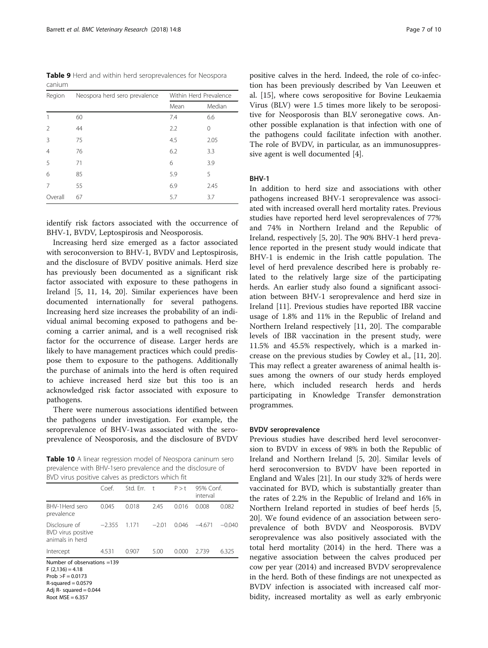<span id="page-6-0"></span>Table 9 Herd and within herd seroprevalences for Neospora canium

| Region         | Neospora herd sero prevalence | Within Herd Prevalence |        |  |  |
|----------------|-------------------------------|------------------------|--------|--|--|
|                |                               | Mean                   | Median |  |  |
|                | 60                            | 7.4                    | 6.6    |  |  |
| $\mathcal{P}$  | 44                            | 2.2                    | 0      |  |  |
| 3              | 75                            | 4.5                    | 2.05   |  |  |
| $\overline{4}$ | 76                            | 6.2                    | 3.3    |  |  |
| 5              | 71                            | 6                      | 3.9    |  |  |
| 6              | 85                            | 5.9                    | 5      |  |  |
| 7              | 55                            | 6.9                    | 2.45   |  |  |
| Overall        | 67                            | 5.7                    | 3.7    |  |  |

identify risk factors associated with the occurrence of BHV-1, BVDV, Leptospirosis and Neosporosis.

Increasing herd size emerged as a factor associated with seroconversion to BHV-1, BVDV and Leptospirosis, and the disclosure of BVDV positive animals. Herd size has previously been documented as a significant risk factor associated with exposure to these pathogens in Ireland [[5, 11](#page-8-0), [14](#page-9-0), [20](#page-9-0)]. Similar experiences have been documented internationally for several pathogens. Increasing herd size increases the probability of an individual animal becoming exposed to pathogens and becoming a carrier animal, and is a well recognised risk factor for the occurrence of disease. Larger herds are likely to have management practices which could predispose them to exposure to the pathogens. Additionally the purchase of animals into the herd is often required to achieve increased herd size but this too is an acknowledged risk factor associated with exposure to pathogens.

There were numerous associations identified between the pathogens under investigation. For example, the seroprevalence of BHV-1was associated with the seroprevalence of Neosporosis, and the disclosure of BVDV

Table 10 A linear regression model of Neospora caninum sero prevalence with BHV-1sero prevalence and the disclosure of BVD virus positive calves as predictors which fit

|                                                                           | Coef.    | Std. Frr. | $+$     | P > t | 95% Conf.<br>interval |          |
|---------------------------------------------------------------------------|----------|-----------|---------|-------|-----------------------|----------|
| BHV-1Herd sero<br>prevalence                                              | 0.045    | 0.018     | 2.45    | 0.016 | 0.008                 | 0.082    |
| Disclosure of<br>BVD virus positive<br>animals in herd                    | $-2.355$ | 1.171     | $-2.01$ | 0.046 | $-4.671$              | $-0.040$ |
| Intercept                                                                 | 4.531    | 0.907     | 5.00    | 0.000 | 2.739                 | 6.325    |
| Number of observations $=139$<br>$F(2,136) = 4.18$<br>$Prob > F = 0.0173$ |          |           |         |       |                       |          |

 $R$ -squared = 0.0579 Adj  $R-$  squared = 0.044 Root  $MSE = 6.357$ 

positive calves in the herd. Indeed, the role of co-infection has been previously described by Van Leeuwen et al. [\[15](#page-9-0)], where cows seropositive for Bovine Leukaemia Virus (BLV) were 1.5 times more likely to be seropositive for Neosporosis than BLV seronegative cows. Another possible explanation is that infection with one of the pathogens could facilitate infection with another. The role of BVDV, in particular, as an immunosuppressive agent is well documented [\[4](#page-8-0)].

## BHV-1

In addition to herd size and associations with other pathogens increased BHV-1 seroprevalence was associated with increased overall herd mortality rates. Previous studies have reported herd level seroprevalences of 77% and 74% in Northern Ireland and the Republic of Ireland, respectively [[5](#page-8-0), [20](#page-9-0)]. The 90% BHV-1 herd prevalence reported in the present study would indicate that BHV-1 is endemic in the Irish cattle population. The level of herd prevalence described here is probably related to the relatively large size of the participating herds. An earlier study also found a significant association between BHV-1 seroprevalence and herd size in Ireland [\[11](#page-8-0)]. Previous studies have reported IBR vaccine usage of 1.8% and 11% in the Republic of Ireland and Northern Ireland respectively [\[11](#page-8-0), [20](#page-9-0)]. The comparable levels of IBR vaccination in the present study, were 11.5% and 45.5% respectively, which is a marked increase on the previous studies by Cowley et al., [\[11,](#page-8-0) [20](#page-9-0)]. This may reflect a greater awareness of animal health issues among the owners of our study herds employed here, which included research herds and herds participating in Knowledge Transfer demonstration programmes.

#### BVDV seroprevalence

Previous studies have described herd level seroconversion to BVDV in excess of 98% in both the Republic of Ireland and Northern Ireland [\[5](#page-8-0), [20\]](#page-9-0). Similar levels of herd seroconversion to BVDV have been reported in England and Wales [[21](#page-9-0)]. In our study 32% of herds were vaccinated for BVD, which is substantially greater than the rates of 2.2% in the Republic of Ireland and 16% in Northern Ireland reported in studies of beef herds [\[5](#page-8-0), [20\]](#page-9-0). We found evidence of an association between seroprevalence of both BVDV and Neosporosis. BVDV seroprevalence was also positively associated with the total herd mortality (2014) in the herd. There was a negative association between the calves produced per cow per year (2014) and increased BVDV seroprevalence in the herd. Both of these findings are not unexpected as BVDV infection is associated with increased calf morbidity, increased mortality as well as early embryonic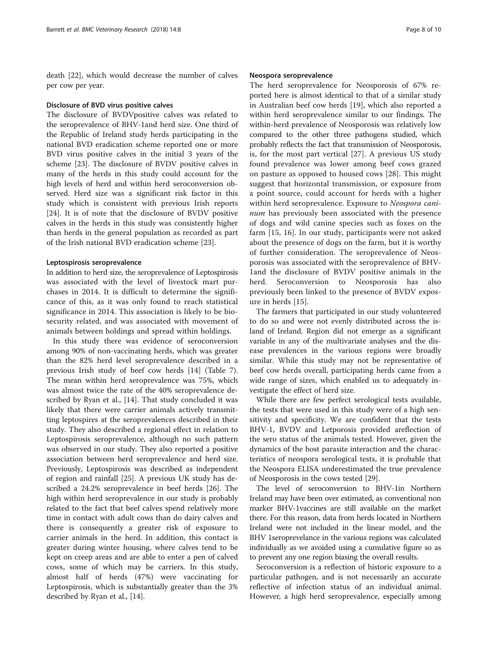death [\[22](#page-9-0)], which would decrease the number of calves per cow per year.

#### Disclosure of BVD virus positive calves

The disclosure of BVDVpositive calves was related to the seroprevalence of BHV-1and herd size. One third of the Republic of Ireland study herds participating in the national BVD eradication scheme reported one or more BVD virus positive calves in the initial 3 years of the scheme [\[23\]](#page-9-0). The disclosure of BVDV positive calves in many of the herds in this study could account for the high levels of herd and within herd seroconversion observed. Herd size was a significant risk factor in this study which is consistent with previous Irish reports [[24\]](#page-9-0). It is of note that the disclosure of BVDV positive calves in the herds in this study was consistently higher than herds in the general population as recorded as part of the Irish national BVD eradication scheme [\[23](#page-9-0)].

### Leptospirosis seroprevalence

In addition to herd size, the seroprevalence of Leptospirosis was associated with the level of livestock mart purchases in 2014. It is difficult to determine the significance of this, as it was only found to reach statistical significance in 2014. This association is likely to be biosecurity related, and was associated with movement of animals between holdings and spread within holdings.

In this study there was evidence of seroconversion among 90% of non-vaccinating herds, which was greater than the 82% herd level seroprevalence described in a previous Irish study of beef cow herds [\[14](#page-9-0)] (Table [7](#page-5-0)). The mean within herd seroprevalence was 75%, which was almost twice the rate of the 40% seroprevalence described by Ryan et al., [\[14](#page-9-0)]. That study concluded it was likely that there were carrier animals actively transmitting leptospires at the seroprevalences described in their study. They also described a regional effect in relation to Leptospirosis seroprevalence, although no such pattern was observed in our study. They also reported a positive association between herd seroprevalence and herd size. Previously, Leptospirosis was described as independent of region and rainfall [[25\]](#page-9-0). A previous UK study has described a 24.2% seroprevalence in beef herds [[26\]](#page-9-0). The high within herd seroprevalence in our study is probably related to the fact that beef calves spend relatively more time in contact with adult cows than do dairy calves and there is consequently a greater risk of exposure to carrier animals in the herd. In addition, this contact is greater during winter housing, where calves tend to be kept on creep areas and are able to enter a pen of calved cows, some of which may be carriers. In this study, almost half of herds (47%) were vaccinating for Leptospirosis, which is substantially greater than the 3% described by Ryan et al., [[14\]](#page-9-0).

### Neospora seroprevalence

The herd seroprevalence for Neosporosis of 67% reported here is almost identical to that of a similar study in Australian beef cow herds [\[19](#page-9-0)], which also reported a within herd seroprevalence similar to our findings. The within-herd prevalence of Neosporosis was relatively low compared to the other three pathogens studied, which probably reflects the fact that transmission of Neosporosis, is, for the most part vertical [[27\]](#page-9-0). A previous US study found prevalence was lower among beef cows grazed on pasture as opposed to housed cows [[28\]](#page-9-0). This might suggest that horizontal transmission, or exposure from a point source, could account for herds with a higher within herd seroprevalence. Exposure to Neospora caninum has previously been associated with the presence of dogs and wild canine species such as foxes on the farm [[15, 16](#page-9-0)]. In our study, participants were not asked about the presence of dogs on the farm, but it is worthy of further consideration. The seroprevalence of Neosporosis was associated with the seroprevalence of BHV-1and the disclosure of BVDV positive animals in the herd. Seroconversion to Neosporosis has also previously been linked to the presence of BVDV exposure in herds [\[15](#page-9-0)].

The farmers that participated in our study volunteered to do so and were not evenly distributed across the island of Ireland. Region did not emerge as a significant variable in any of the multivariate analyses and the disease prevalences in the various regions were broadly similar. While this study may not be representative of beef cow herds overall, participating herds came from a wide range of sizes, which enabled us to adequately investigate the effect of herd size.

While there are few perfect serological tests available, the tests that were used in this study were of a high sensitivity and specificity. We are confident that the tests BHV-1, BVDV and Letporosis provided areflection of the sero status of the animals tested. However, given the dynamics of the host parasite interaction and the characteristics of neospora serological tests, it is probable that the Neospora ELISA underestimated the true prevalence of Neosporosis in the cows tested [[29\]](#page-9-0).

The level of seroconversion to BHV-1in Northern Ireland may have been over estimated, as conventional non marker BHV-1vaccines are still available on the market there. For this reason, data from herds located in Northern Ireland were not included in the linear model, and the BHV 1seroprevelance in the various regions was calculated individually as we avoided using a cumulative figure so as to prevent any one region biasing the overall results.

Seroconversion is a reflection of historic exposure to a particular pathogen, and is not necessarily an accurate reflective of infection status of an individual animal. However, a high herd seroprevalence, especially among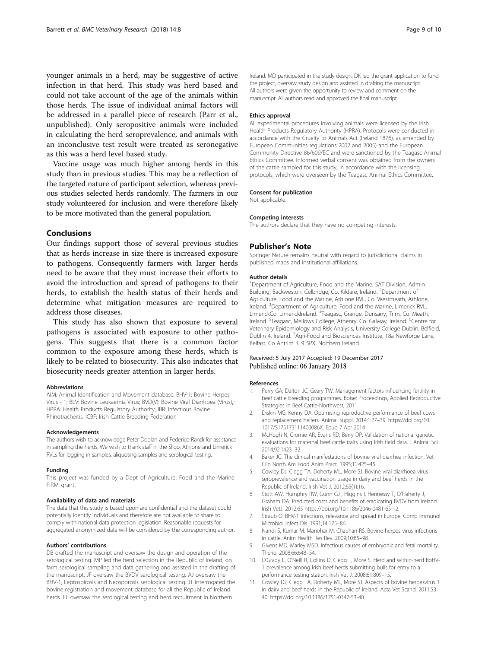<span id="page-8-0"></span>younger animals in a herd, may be suggestive of active infection in that herd. This study was herd based and could not take account of the age of the animals within those herds. The issue of individual animal factors will be addressed in a parallel piece of research (Parr et al., unpublished). Only seropositive animals were included in calculating the herd seroprevalence, and animals with an inconclusive test result were treated as seronegative as this was a herd level based study.

Vaccine usage was much higher among herds in this study than in previous studies. This may be a reflection of the targeted nature of participant selection, whereas previous studies selected herds randomly. The farmers in our study volunteered for inclusion and were therefore likely to be more motivated than the general population.

## Conclusions

Our findings support those of several previous studies that as herds increase in size there is increased exposure to pathogens. Consequently farmers with larger herds need to be aware that they must increase their efforts to avoid the introduction and spread of pathogens to their herds, to establish the health status of their herds and determine what mitigation measures are required to address those diseases.

This study has also shown that exposure to several pathogens is associated with exposure to other pathogens. This suggests that there is a common factor common to the exposure among these herds, which is likely to be related to biosecurity. This also indicates that biosecurity needs greater attention in larger herds.

#### Abbreviations

AIM: Animal Identification and Movement database; BHV-1: Bovine Herpes Virus - 1; BLV: Bovine Leukaemia Virus; BVD(V): Bovine Viral Diarrhoea (Virus),; HPRA: Health Products Regulatory Authority; IBR: Infectious Bovine Rhinotracheitis; ICBF: Irish Cattle Breeding Federation

#### Acknowledgements

The authors wish to acknowledge Peter Doolan and Federico Randi for assistance in sampling the herds. We wish to thank staff in the Sligo, Athlone and Limerick RVLs for logging in samples, aliquoting samples and serological testing.

#### Funding

This project was funded by a Dept of Agriculture, Food and the Marine FIRM grant.

#### Availability of data and materials

The data that this study is based upon are confidential and the dataset could potentially identify individuals and therefore are not available to share to comply with national data protection legislation. Reasonable requests for aggregated anonymized data will be considered by the corresponding author.

#### Authors' contributions

DB drafted the manuscript and oversaw the design and operation of the serological testing. MP led the herd selection in the Republic of Ireland, on farm serological sampling and data gathering and assisted in the drafting of the manuscript. JF oversaw the BVDV serological testing. AJ oversaw the BHV-1, Leptospirosis and Neosporosis serological testing. JT interrogated the bovine registration and movement database for all the Republic of Ireland herds. FL oversaw the serological testing and herd recruitment in Northern

Ireland. MD participated in the study design. DK led the grant application to fund the project, oversaw study design and assisted in drafting the manuscript. All authors were given the opportunity to review and comment on the manuscript. All authors read and approved the final manuscript.

#### Ethics approval

All experimental procedures involving animals were licensed by the Irish Health Products Regulatory Authority (HPRA). Protocols were conducted in accordance with the Cruelty to Animals Act (Ireland 1876), as amended by European Communities regulations 2002 and 2005) and the European Community Directive 86/609/EC and were sanctioned by the Teagasc Animal Ethics Committee. Informed verbal consent was obtained from the owners of the cattle sampled for this study, in accordance with the licensing protocols, which were overseen by the Teagasc Animal Ethics Committee.

#### Consent for publication

Not applicable.

#### Competing interests

The authors declare that they have no competing interests.

#### Publisher's Note

Springer Nature remains neutral with regard to jurisdictional claims in published maps and institutional affiliations.

#### Author details

<sup>1</sup>Department of Agriculture, Food and the Marine, SAT Division, Admin Building, Backweston, Celbridge, Co. Kildare, Ireland. <sup>2</sup>Department of Agriculture, Food and the Marine, Athlone RVL, Co. Westmeath, Athlone, Ireland. <sup>3</sup>Department of Agriculture, Food and the Marine, Limerick RVL, LimerickCo. LimerickIreland. <sup>4</sup>Teagasc, Grange, Dunsany, Trim, Co. Meath Ireland. <sup>5</sup>Teagasc, Mellows College, Athenry, Co. Galway, Ireland. <sup>6</sup>Centre for Veterinary Epidemiology and Risk Analysis, University College Dublin, Belfield, Dublin 4, Ireland. <sup>7</sup> Agri-Food and Biosciences Institute, 18a Newforge Lane, Belfast, Co Antrim BT9 5PX, Northern Ireland.

#### Received: 5 July 2017 Accepted: 19 December 2017 Published online: 06 January 2018

#### References

- 1. Perry GA, Dalton JC, Geary TW. Management factors influencing fertility in beef cattle breeding programmes. Boise: Proceedings, Applied Reproductive Strategies in Beef Cattle-Northwest; 2011.
- 2. Diskin MG, Kenny DA. Optimising reproductive performance of beef cows and replacement heifers. Animal Suppl. 2014;1:27–39. [https://doi.org/10.](http://dx.doi.org/10.1017/S175173111400086X) [1017/S175173111400086X](http://dx.doi.org/10.1017/S175173111400086X). Epub 7 Apr 2014
- 3. McHugh N, Cromie AR, Evans RD, Berry DP. Validation of national genetic evaluations for maternal beef cattle traits using Irish field data. J Animal Sci. 2014;92:1423–32.
- 4. Baker JC. The clinical manifestations of bovine viral diarrhea infection. Vet Clin North Am Food Anim Pract. 1995;11:425–45.
- 5. Cowley DJ, Clegg TA, Doherty ML, More SJ. Bovine viral diarrhoea virus seroprevalence and vaccination usage in dairy and beef herds in the Republic of Ireland. Irish Vet J. 2012;65(1):16.
- 6. Stott AW, Humphry RW, Gunn GJ , Higgins I, Hennessy T, O'Flaherty J, Graham DA. Predicted costs and benefits of eradicating BVDV from Ireland. Irish VetJ. 2012;65 [https://doi.org/10.1186/2046-0481-65-12](http://dx.doi.org/10.1186/2046-0481-65-12).
- 7. Straub O. BHV-1 infections, relevance and spread in Europe. Comp Immunol Microbiol Infect Dis. 1991;14:175–86.
- 8. Nandi S, Kumar M, Manohar M, Chauhan RS. Bovine herpes virus infections in cattle. Anim Health Res Rev. 2009;10:85–98.
- 9. Givens MD, Marley MSD. Infectious causes of embryonic and fetal mortality. Therio. 2008;66:648–54.
- 10. O'Grady L, O'Neill R, Collins D, Clegg T, More S. Herd and within-herd BoHV-1 prevalence among Irish beef herds submitting bulls for entry to a performance testing station. Irish Vet J. 2008;61:809–15.
- 11. Cowley DJ, Clegg TA, Doherty ML, More SJ. Aspects of bovine herpesvirus 1 in dairy and beef herds in the Republic of Ireland. Acta Vet Scand. 2011;53: 40. [https://doi.org/10.1186/1751-0147-53-40](http://dx.doi.org/10.1186/1751-0147-53-40).